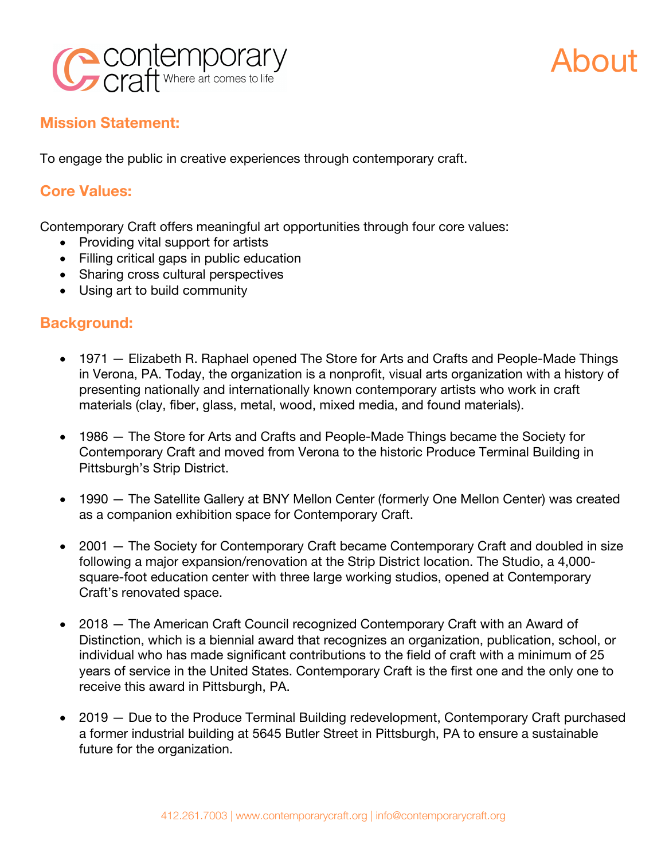



## **Mission Statement:**

To engage the public in creative experiences through contemporary craft.

## **Core Values:**

Contemporary Craft offers meaningful art opportunities through four core values:

- Providing vital support for artists
- Filling critical gaps in public education
- Sharing cross cultural perspectives
- Using art to build community

## **Background:**

- 1971 Elizabeth R. Raphael opened The Store for Arts and Crafts and People-Made Things in Verona, PA. Today, the organization is a nonprofit, visual arts organization with a history of presenting nationally and internationally known contemporary artists who work in craft materials (clay, fiber, glass, metal, wood, mixed media, and found materials).
- 1986 The Store for Arts and Crafts and People-Made Things became the Society for Contemporary Craft and moved from Verona to the historic Produce Terminal Building in Pittsburgh's Strip District.
- 1990 The Satellite Gallery at BNY Mellon Center (formerly One Mellon Center) was created as a companion exhibition space for Contemporary Craft.
- 2001 The Society for Contemporary Craft became Contemporary Craft and doubled in size following a major expansion/renovation at the Strip District location. The Studio, a 4,000 square-foot education center with three large working studios, opened at Contemporary Craft's renovated space.
- 2018 The American Craft Council recognized Contemporary Craft with an Award of Distinction, which is a biennial award that recognizes an organization, publication, school, or individual who has made significant contributions to the field of craft with a minimum of 25 years of service in the United States. Contemporary Craft is the first one and the only one to receive this award in Pittsburgh, PA.
- 2019 Due to the Produce Terminal Building redevelopment, Contemporary Craft purchased a former industrial building at 5645 Butler Street in Pittsburgh, PA to ensure a sustainable future for the organization.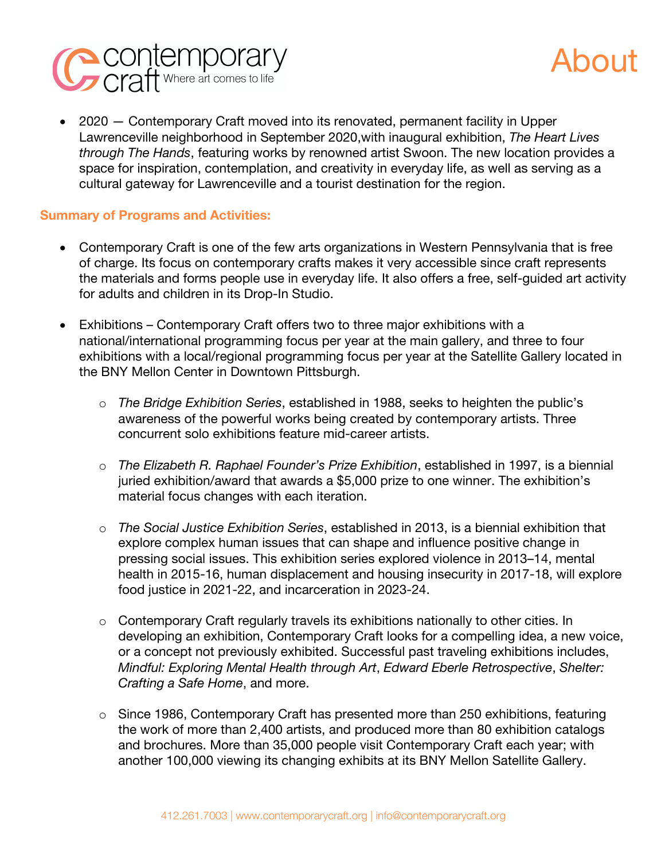

• 2020 – Contemporary Craft moved into its renovated, permanent facility in Upper Lawrenceville neighborhood in September 2020,with inaugural exhibition, *The Heart Lives through The Hands*, featuring works by renowned artist Swoon. The new location provides a space for inspiration, contemplation, and creativity in everyday life, as well as serving as a cultural gateway for Lawrenceville and a tourist destination for the region.

## **Summary of Programs and Activities:**

- Contemporary Craft is one of the few arts organizations in Western Pennsylvania that is free of charge. Its focus on contemporary crafts makes it very accessible since craft represents the materials and forms people use in everyday life. It also offers a free, self-guided art activity for adults and children in its Drop-In Studio.
- Exhibitions Contemporary Craft offers two to three major exhibitions with a national/international programming focus per year at the main gallery, and three to four exhibitions with a local/regional programming focus per year at the Satellite Gallery located in the BNY Mellon Center in Downtown Pittsburgh.
	- o *The Bridge Exhibition Series*, established in 1988, seeks to heighten the public's awareness of the powerful works being created by contemporary artists. Three concurrent solo exhibitions feature mid-career artists.
	- o *The Elizabeth R. Raphael Founder's Prize Exhibition*, established in 1997, is a biennial juried exhibition/award that awards a \$5,000 prize to one winner. The exhibition's material focus changes with each iteration.
	- o *The Social Justice Exhibition Series*, established in 2013, is a biennial exhibition that explore complex human issues that can shape and influence positive change in pressing social issues. This exhibition series explored violence in 2013–14, mental health in 2015-16, human displacement and housing insecurity in 2017-18, will explore food justice in 2021-22, and incarceration in 2023-24.
	- o Contemporary Craft regularly travels its exhibitions nationally to other cities. In developing an exhibition, Contemporary Craft looks for a compelling idea, a new voice, or a concept not previously exhibited. Successful past traveling exhibitions includes, *Mindful: Exploring Mental Health through Art*, *Edward Eberle Retrospective*, *Shelter: Crafting a Safe Home*, and more.
	- o Since 1986, Contemporary Craft has presented more than 250 exhibitions, featuring the work of more than 2,400 artists, and produced more than 80 exhibition catalogs and brochures. More than 35,000 people visit Contemporary Craft each year; with another 100,000 viewing its changing exhibits at its BNY Mellon Satellite Gallery.